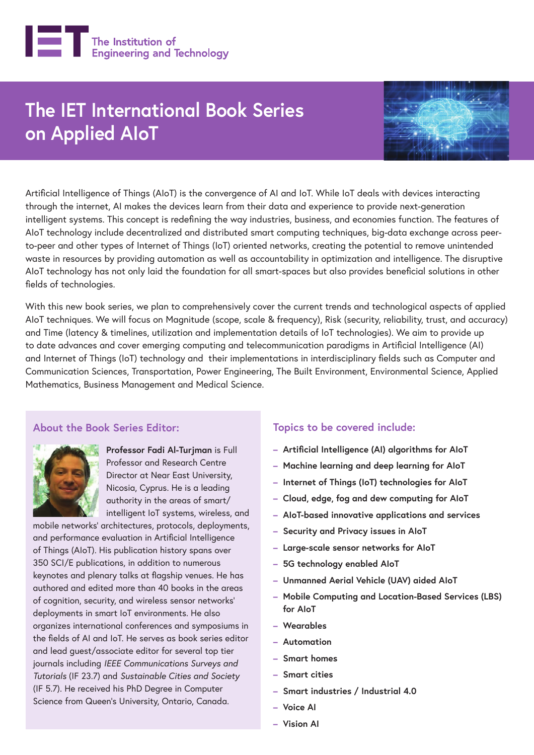

# **The IET International Book Series on Applied AIoT**



Artificial Intelligence of Things (AIoT) is the convergence of AI and IoT. While IoT deals with devices interacting through the internet, AI makes the devices learn from their data and experience to provide next-generation intelligent systems. This concept is redefining the way industries, business, and economies function. The features of AIoT technology include decentralized and distributed smart computing techniques, big-data exchange across peerto-peer and other types of Internet of Things (IoT) oriented networks, creating the potential to remove unintended waste in resources by providing automation as well as accountability in optimization and intelligence. The disruptive AIoT technology has not only laid the foundation for all smart-spaces but also provides beneficial solutions in other fields of technologies.

With this new book series, we plan to comprehensively cover the current trends and technological aspects of applied AIoT techniques. We will focus on Magnitude (scope, scale & frequency), Risk (security, reliability, trust, and accuracy) and Time (latency & timelines, utilization and implementation details of IoT technologies). We aim to provide up to date advances and cover emerging computing and telecommunication paradigms in Artificial Intelligence (AI) and Internet of Things (IoT) technology and their implementations in interdisciplinary fields such as Computer and Communication Sciences, Transportation, Power Engineering, The Built Environment, Environmental Science, Applied Mathematics, Business Management and Medical Science.

#### **About the Book Series Editor:**



**Professor Fadi Al-Turjman** is Full Professor and Research Centre Director at Near East University, Nicosia, Cyprus. He is a leading authority in the areas of smart/ intelligent IoT systems, wireless, and

mobile networks' architectures, protocols, deployments, and performance evaluation in Artificial Intelligence of Things (AIoT). His publication history spans over 350 SCI/E publications, in addition to numerous keynotes and plenary talks at flagship venues. He has authored and edited more than 40 books in the areas of cognition, security, and wireless sensor networks' deployments in smart IoT environments. He also organizes international conferences and symposiums in the fields of AI and IoT. He serves as book series editor and lead guest/associate editor for several top tier journals including *IEEE Communications Surveys and Tutorials* (IF 23.7) and *Sustainable Cities and Society* (IF 5.7). He received his PhD Degree in Computer Science from Queen's University, Ontario, Canada.

#### **Topics to be covered include:**

- **Artificial Intelligence (AI) algorithms for AIoT**
- **Machine learning and deep learning for AIoT**
- **Internet of Things (IoT) technologies for AIoT**
- **Cloud, edge, fog and dew computing for AIoT**
- **AIoT-based innovative applications and services**
- **Security and Privacy issues in AIoT**
- **Large-scale sensor networks for AIoT**
- **5G technology enabled AIoT**
- **Unmanned Aerial Vehicle (UAV) aided AIoT**
- **Mobile Computing and Location-Based Services (LBS) for AIoT**
- **Wearables**
- **Automation**
- **Smart homes**
- **Smart cities**
- **Smart industries / Industrial 4.0**
- **Voice AI**
- **Vision AI**